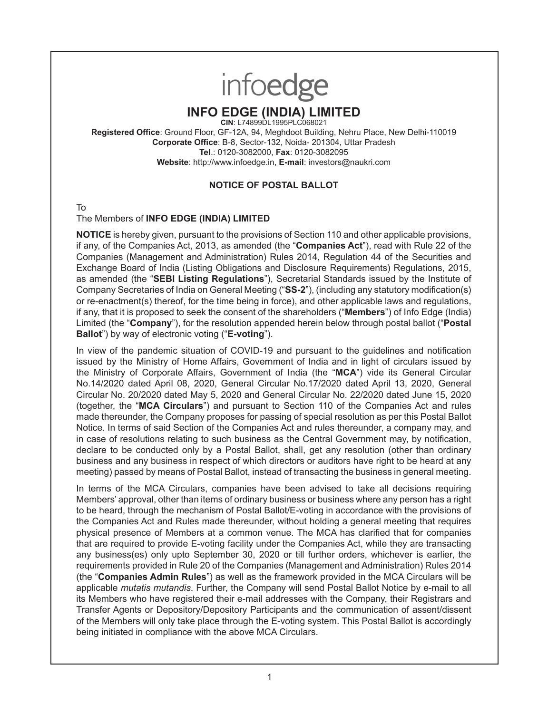# infoedge

# **INFO EDGE (INDIA) LIMITED**

**CIN**: L74899DL1995PLC068021

**Registered Office**: Ground Floor, GF-12A, 94, Meghdoot Building, Nehru Place, New Delhi-110019 **Corporate Office**: B-8, Sector-132, Noida- 201304, Uttar Pradesh **Tel**.: 0120-3082000, **Fax**: 0120-3082095 **Website**: http://www.infoedge.in, **E-mail**: investors@naukri.com

## **NOTICE OF POSTAL BALLOT**

To

## The Members of **INFO EDGE (INDIA) LIMITED**

**NOTICE** is hereby given, pursuant to the provisions of Section 110 and other applicable provisions, if any, of the Companies Act, 2013, as amended (the "**Companies Act**"), read with Rule 22 of the Companies (Management and Administration) Rules 2014, Regulation 44 of the Securities and Exchange Board of India (Listing Obligations and Disclosure Requirements) Regulations, 2015, as amended (the "**SEBI Listing Regulations**"), Secretarial Standards issued by the Institute of Company Secretaries of India on General Meeting ("**SS-2**"), (including any statutory modification(s) or re-enactment(s) thereof, for the time being in force), and other applicable laws and regulations, if any, that it is proposed to seek the consent of the shareholders ("**Members**") of Info Edge (India) Limited (the "**Company**"), for the resolution appended herein below through postal ballot ("**Postal Ballot**") by way of electronic voting ("**E-voting**").

In view of the pandemic situation of COVID-19 and pursuant to the guidelines and notification issued by the Ministry of Home Affairs, Government of India and in light of circulars issued by the Ministry of Corporate Affairs, Government of India (the "**MCA**") vide its General Circular No.14/2020 dated April 08, 2020, General Circular No.17/2020 dated April 13, 2020, General Circular No. 20/2020 dated May 5, 2020 and General Circular No. 22/2020 dated June 15, 2020 (together, the "**MCA Circulars**") and pursuant to Section 110 of the Companies Act and rules made thereunder, the Company proposes for passing of special resolution as per this Postal Ballot Notice. In terms of said Section of the Companies Act and rules thereunder, a company may, and in case of resolutions relating to such business as the Central Government may, by notification, declare to be conducted only by a Postal Ballot, shall, get any resolution (other than ordinary business and any business in respect of which directors or auditors have right to be heard at any meeting) passed by means of Postal Ballot, instead of transacting the business in general meeting.

In terms of the MCA Circulars, companies have been advised to take all decisions requiring Members' approval, other than items of ordinary business or business where any person has a right to be heard, through the mechanism of Postal Ballot/E-voting in accordance with the provisions of the Companies Act and Rules made thereunder, without holding a general meeting that requires physical presence of Members at a common venue. The MCA has clarified that for companies that are required to provide E-voting facility under the Companies Act, while they are transacting any business(es) only upto September 30, 2020 or till further orders, whichever is earlier, the requirements provided in Rule 20 of the Companies (Management and Administration) Rules 2014 (the "**Companies Admin Rules**") as well as the framework provided in the MCA Circulars will be applicable *mutatis mutandis*. Further, the Company will send Postal Ballot Notice by e-mail to all its Members who have registered their e-mail addresses with the Company, their Registrars and Transfer Agents or Depository/Depository Participants and the communication of assent/dissent of the Members will only take place through the E-voting system. This Postal Ballot is accordingly being initiated in compliance with the above MCA Circulars.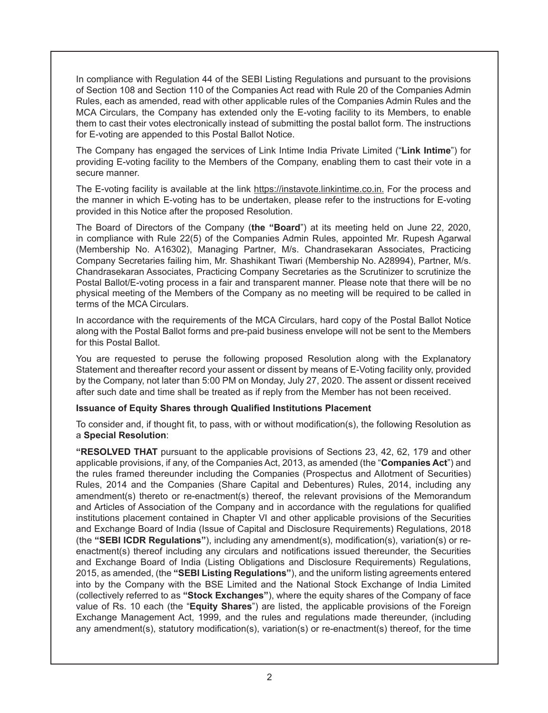In compliance with Regulation 44 of the SEBI Listing Regulations and pursuant to the provisions of Section 108 and Section 110 of the Companies Act read with Rule 20 of the Companies Admin Rules, each as amended, read with other applicable rules of the Companies Admin Rules and the MCA Circulars, the Company has extended only the E-voting facility to its Members, to enable them to cast their votes electronically instead of submitting the postal ballot form. The instructions for E-voting are appended to this Postal Ballot Notice.

The Company has engaged the services of Link Intime India Private Limited ("**Link Intime**") for providing E-voting facility to the Members of the Company, enabling them to cast their vote in a secure manner.

The E-voting facility is available at the link https://instavote.linkintime.co.in. For the process and the manner in which E-voting has to be undertaken, please refer to the instructions for E-voting provided in this Notice after the proposed Resolution.

The Board of Directors of the Company (**the "Board**") at its meeting held on June 22, 2020, in compliance with Rule 22(5) of the Companies Admin Rules, appointed Mr. Rupesh Agarwal (Membership No. A16302), Managing Partner, M/s. Chandrasekaran Associates, Practicing Company Secretaries failing him, Mr. Shashikant Tiwari (Membership No. A28994), Partner, M/s. Chandrasekaran Associates, Practicing Company Secretaries as the Scrutinizer to scrutinize the Postal Ballot/E-voting process in a fair and transparent manner. Please note that there will be no physical meeting of the Members of the Company as no meeting will be required to be called in terms of the MCA Circulars.

In accordance with the requirements of the MCA Circulars, hard copy of the Postal Ballot Notice along with the Postal Ballot forms and pre-paid business envelope will not be sent to the Members for this Postal Ballot.

You are requested to peruse the following proposed Resolution along with the Explanatory Statement and thereafter record your assent or dissent by means of E-Voting facility only, provided by the Company, not later than 5:00 PM on Monday, July 27, 2020. The assent or dissent received after such date and time shall be treated as if reply from the Member has not been received.

#### **Issuance of Equity Shares through Qualified Institutions Placement**

To consider and, if thought fit, to pass, with or without modification(s), the following Resolution as a **Special Resolution**:

**"RESOLVED THAT** pursuant to the applicable provisions of Sections 23, 42, 62, 179 and other applicable provisions, if any, of the Companies Act, 2013, as amended (the "**Companies Act**") and the rules framed thereunder including the Companies (Prospectus and Allotment of Securities) Rules, 2014 and the Companies (Share Capital and Debentures) Rules, 2014, including any amendment(s) thereto or re-enactment(s) thereof, the relevant provisions of the Memorandum and Articles of Association of the Company and in accordance with the regulations for qualified institutions placement contained in Chapter VI and other applicable provisions of the Securities and Exchange Board of India (Issue of Capital and Disclosure Requirements) Regulations, 2018 (the **"SEBI ICDR Regulations"**), including any amendment(s), modification(s), variation(s) or reenactment(s) thereof including any circulars and notifications issued thereunder, the Securities and Exchange Board of India (Listing Obligations and Disclosure Requirements) Regulations, 2015, as amended, (the **"SEBI Listing Regulations"**), and the uniform listing agreements entered into by the Company with the BSE Limited and the National Stock Exchange of India Limited (collectively referred to as **"Stock Exchanges"**), where the equity shares of the Company of face value of Rs. 10 each (the "**Equity Shares**") are listed, the applicable provisions of the Foreign Exchange Management Act, 1999, and the rules and regulations made thereunder, (including any amendment(s), statutory modification(s), variation(s) or re-enactment(s) thereof, for the time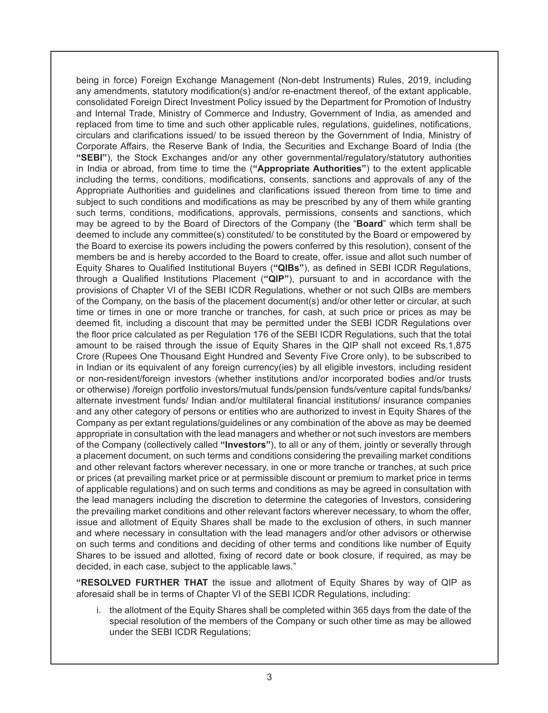being in force) Foreign Exchange Management (Non-debt Instruments) Rules, 2019, including any amendments, statutory modification(s) and/or re-enactment thereof, of the extant applicable, consolidated Foreign Direct Investment Policy issued by the Department for Promotion of Industry and Internal Trade, Ministry of Commerce and Industry, Government of India, as amended and replaced from time to time and such other applicable rules, regulations, guidelines, notifications, circulars and clarifications issued/ to be issued thereon by the Government of India, Ministry of Corporate Affairs, the Reserve Bank of India, the Securities and Exchange Board of India (the **"SEBI"**), the Stock Exchanges and/or any other governmental/regulatory/statutory authorities in India or abroad, from time to time the (**"Appropriate Authorities"**) to the extent applicable including the terms, conditions, modifications, consents, sanctions and approvals of any of the Appropriate Authorities and guidelines and clarifications issued thereon from time to time and subject to such conditions and modifications as may be prescribed by any of them while granting such terms, conditions, modifications, approvals, permissions, consents and sanctions, which may be agreed to by the Board of Directors of the Company (the "**Board**" which term shall be deemed to include any committee(s) constituted/ to be constituted by the Board or empowered by the Board to exercise its powers including the powers conferred by this resolution), consent of the members be and is hereby accorded to the Board to create, offer, issue and allot such number of Equity Shares to Qualified Institutional Buyers (**"QIBs"**), as defined in SEBI ICDR Regulations, through a Qualified Institutions Placement (**"QIP"**), pursuant to and in accordance with the provisions of Chapter VI of the SEBI ICDR Regulations, whether or not such QIBs are members of the Company, on the basis of the placement document(s) and/or other letter or circular, at such time or times in one or more tranche or tranches, for cash, at such price or prices as may be deemed fit, including a discount that may be permitted under the SEBI ICDR Regulations over the floor price calculated as per Regulation 176 of the SEBI ICDR Regulations, such that the total amount to be raised through the issue of Equity Shares in the QIP shall not exceed Rs.1,875 Crore (Rupees One Thousand Eight Hundred and Seventy Five Crore only), to be subscribed to in Indian or its equivalent of any foreign currency(ies) by all eligible investors, including resident or non-resident/foreign investors (whether institutions and/or incorporated bodies and/or trusts or otherwise) /foreign portfolio investors/mutual funds/pension funds/venture capital funds/banks/ alternate investment funds/ Indian and/or multilateral financial institutions/ insurance companies and any other category of persons or entities who are authorized to invest in Equity Shares of the Company as per extant regulations/guidelines or any combination of the above as may be deemed appropriate in consultation with the lead managers and whether or not such investors are members of the Company (collectively called **"Investors"**), to all or any of them, jointly or severally through a placement document, on such terms and conditions considering the prevailing market conditions and other relevant factors wherever necessary, in one or more tranche or tranches, at such price or prices (at prevailing market price or at permissible discount or premium to market price in terms of applicable regulations) and on such terms and conditions as may be agreed in consultation with the lead managers including the discretion to determine the categories of Investors, considering the prevailing market conditions and other relevant factors wherever necessary, to whom the offer, issue and allotment of Equity Shares shall be made to the exclusion of others, in such manner and where necessary in consultation with the lead managers and/or other advisors or otherwise on such terms and conditions and deciding of other terms and conditions like number of Equity Shares to be issued and allotted, fixing of record date or book closure, if required, as may be decided, in each case, subject to the applicable laws."

**"RESOLVED FURTHER THAT** the issue and allotment of Equity Shares by way of QIP as aforesaid shall be in terms of Chapter VI of the SEBI ICDR Regulations, including:

i. the allotment of the Equity Shares shall be completed within 365 days from the date of the special resolution of the members of the Company or such other time as may be allowed under the SEBI ICDR Regulations;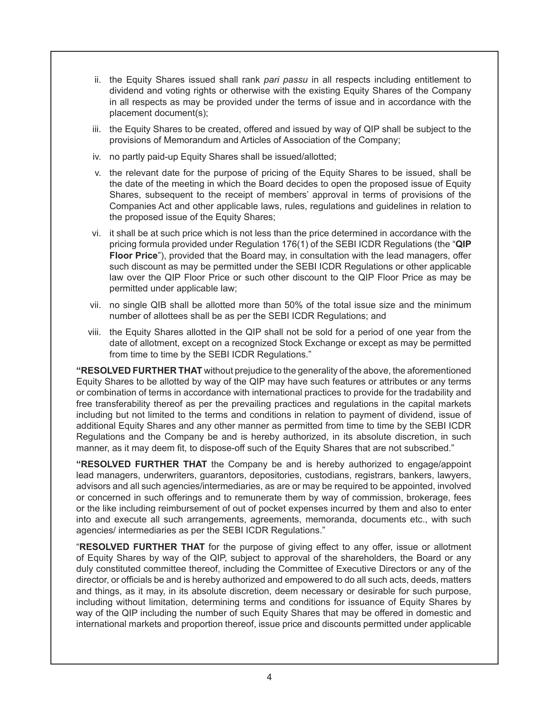- ii. the Equity Shares issued shall rank *pari passu* in all respects including entitlement to dividend and voting rights or otherwise with the existing Equity Shares of the Company in all respects as may be provided under the terms of issue and in accordance with the placement document(s);
- iii. the Equity Shares to be created, offered and issued by way of QIP shall be subject to the provisions of Memorandum and Articles of Association of the Company;
- iv. no partly paid-up Equity Shares shall be issued/allotted;
- v. the relevant date for the purpose of pricing of the Equity Shares to be issued, shall be the date of the meeting in which the Board decides to open the proposed issue of Equity Shares, subsequent to the receipt of members' approval in terms of provisions of the Companies Act and other applicable laws, rules, regulations and guidelines in relation to the proposed issue of the Equity Shares;
- vi. it shall be at such price which is not less than the price determined in accordance with the pricing formula provided under Regulation 176(1) of the SEBI ICDR Regulations (the "**QIP Floor Price**"), provided that the Board may, in consultation with the lead managers, offer such discount as may be permitted under the SEBI ICDR Regulations or other applicable law over the QIP Floor Price or such other discount to the QIP Floor Price as may be permitted under applicable law;
- vii. no single QIB shall be allotted more than 50% of the total issue size and the minimum number of allottees shall be as per the SEBI ICDR Regulations; and
- viii. the Equity Shares allotted in the QIP shall not be sold for a period of one year from the date of allotment, except on a recognized Stock Exchange or except as may be permitted from time to time by the SEBI ICDR Regulations."

**"RESOLVED FURTHER THAT** without prejudice to the generality of the above, the aforementioned Equity Shares to be allotted by way of the QIP may have such features or attributes or any terms or combination of terms in accordance with international practices to provide for the tradability and free transferability thereof as per the prevailing practices and regulations in the capital markets including but not limited to the terms and conditions in relation to payment of dividend, issue of additional Equity Shares and any other manner as permitted from time to time by the SEBI ICDR Regulations and the Company be and is hereby authorized, in its absolute discretion, in such manner, as it may deem fit, to dispose-off such of the Equity Shares that are not subscribed."

**"RESOLVED FURTHER THAT** the Company be and is hereby authorized to engage/appoint lead managers, underwriters, guarantors, depositories, custodians, registrars, bankers, lawyers, advisors and all such agencies/intermediaries, as are or may be required to be appointed, involved or concerned in such offerings and to remunerate them by way of commission, brokerage, fees or the like including reimbursement of out of pocket expenses incurred by them and also to enter into and execute all such arrangements, agreements, memoranda, documents etc., with such agencies/ intermediaries as per the SEBI ICDR Regulations."

"**RESOLVED FURTHER THAT** for the purpose of giving effect to any offer, issue or allotment of Equity Shares by way of the QIP, subject to approval of the shareholders, the Board or any duly constituted committee thereof, including the Committee of Executive Directors or any of the director, or officials be and is hereby authorized and empowered to do all such acts, deeds, matters and things, as it may, in its absolute discretion, deem necessary or desirable for such purpose, including without limitation, determining terms and conditions for issuance of Equity Shares by way of the QIP including the number of such Equity Shares that may be offered in domestic and international markets and proportion thereof, issue price and discounts permitted under applicable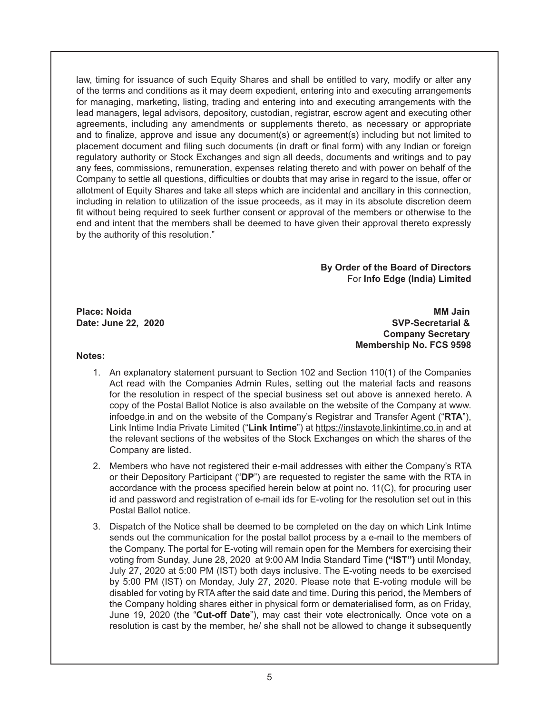law, timing for issuance of such Equity Shares and shall be entitled to vary, modify or alter any of the terms and conditions as it may deem expedient, entering into and executing arrangements for managing, marketing, listing, trading and entering into and executing arrangements with the lead managers, legal advisors, depository, custodian, registrar, escrow agent and executing other agreements, including any amendments or supplements thereto, as necessary or appropriate and to finalize, approve and issue any document(s) or agreement(s) including but not limited to placement document and filing such documents (in draft or final form) with any Indian or foreign regulatory authority or Stock Exchanges and sign all deeds, documents and writings and to pay any fees, commissions, remuneration, expenses relating thereto and with power on behalf of the Company to settle all questions, difficulties or doubts that may arise in regard to the issue, offer or allotment of Equity Shares and take all steps which are incidental and ancillary in this connection, including in relation to utilization of the issue proceeds, as it may in its absolute discretion deem fit without being required to seek further consent or approval of the members or otherwise to the end and intent that the members shall be deemed to have given their approval thereto expressly by the authority of this resolution."

> **By Order of the Board of Directors** For **Info Edge (India) Limited**

**Place: Noida MM Jain Date: June 22, 2020 SVP-Secretarial & Company Secretary Membership No. FCS 9598**

#### **Notes:**

- 1. An explanatory statement pursuant to Section 102 and Section 110(1) of the Companies Act read with the Companies Admin Rules, setting out the material facts and reasons for the resolution in respect of the special business set out above is annexed hereto. A copy of the Postal Ballot Notice is also available on the website of the Company at www. infoedge.in and on the website of the Company's Registrar and Transfer Agent ("**RTA**"), Link Intime India Private Limited ("**Link Intime**") at https://instavote.linkintime.co.in and at the relevant sections of the websites of the Stock Exchanges on which the shares of the Company are listed.
- 2. Members who have not registered their e-mail addresses with either the Company's RTA or their Depository Participant ("**DP**") are requested to register the same with the RTA in accordance with the process specified herein below at point no. 11(C), for procuring user id and password and registration of e-mail ids for E-voting for the resolution set out in this Postal Ballot notice.
- 3. Dispatch of the Notice shall be deemed to be completed on the day on which Link Intime sends out the communication for the postal ballot process by a e-mail to the members of the Company. The portal for E-voting will remain open for the Members for exercising their voting from Sunday, June 28, 2020 at 9:00 AM India Standard Time **("IST")** until Monday, July 27, 2020 at 5:00 PM (IST) both days inclusive. The E-voting needs to be exercised by 5:00 PM (IST) on Monday, July 27, 2020. Please note that E-voting module will be disabled for voting by RTA after the said date and time. During this period, the Members of the Company holding shares either in physical form or dematerialised form, as on Friday, June 19, 2020 (the "**Cut-off Date**"), may cast their vote electronically. Once vote on a resolution is cast by the member, he/ she shall not be allowed to change it subsequently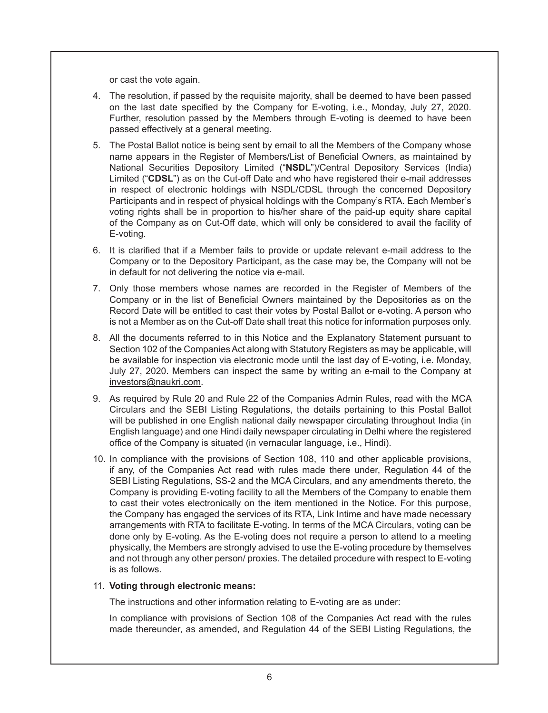or cast the vote again.

- 4. The resolution, if passed by the requisite majority, shall be deemed to have been passed on the last date specified by the Company for E-voting, i.e., Monday, July 27, 2020. Further, resolution passed by the Members through E-voting is deemed to have been passed effectively at a general meeting.
- 5. The Postal Ballot notice is being sent by email to all the Members of the Company whose name appears in the Register of Members/List of Beneficial Owners, as maintained by National Securities Depository Limited ("**NSDL**")/Central Depository Services (India) Limited ("**CDSL**") as on the Cut-off Date and who have registered their e-mail addresses in respect of electronic holdings with NSDL/CDSL through the concerned Depository Participants and in respect of physical holdings with the Company's RTA. Each Member's voting rights shall be in proportion to his/her share of the paid-up equity share capital of the Company as on Cut-Off date, which will only be considered to avail the facility of E-voting.
- 6. It is clarified that if a Member fails to provide or update relevant e-mail address to the Company or to the Depository Participant, as the case may be, the Company will not be in default for not delivering the notice via e-mail.
- 7. Only those members whose names are recorded in the Register of Members of the Company or in the list of Beneficial Owners maintained by the Depositories as on the Record Date will be entitled to cast their votes by Postal Ballot or e-voting. A person who is not a Member as on the Cut-off Date shall treat this notice for information purposes only.
- 8. All the documents referred to in this Notice and the Explanatory Statement pursuant to Section 102 of the Companies Act along with Statutory Registers as may be applicable, will be available for inspection via electronic mode until the last day of E-voting, i.e. Monday, July 27, 2020. Members can inspect the same by writing an e-mail to the Company at investors@naukri.com.
- 9. As required by Rule 20 and Rule 22 of the Companies Admin Rules, read with the MCA Circulars and the SEBI Listing Regulations, the details pertaining to this Postal Ballot will be published in one English national daily newspaper circulating throughout India (in English language) and one Hindi daily newspaper circulating in Delhi where the registered office of the Company is situated (in vernacular language, i.e., Hindi).
- 10. In compliance with the provisions of Section 108, 110 and other applicable provisions, if any, of the Companies Act read with rules made there under, Regulation 44 of the SEBI Listing Regulations, SS-2 and the MCA Circulars, and any amendments thereto, the Company is providing E-voting facility to all the Members of the Company to enable them to cast their votes electronically on the item mentioned in the Notice. For this purpose, the Company has engaged the services of its RTA, Link Intime and have made necessary arrangements with RTA to facilitate E-voting. In terms of the MCA Circulars, voting can be done only by E-voting. As the E-voting does not require a person to attend to a meeting physically, the Members are strongly advised to use the E-voting procedure by themselves and not through any other person/ proxies. The detailed procedure with respect to E-voting is as follows.

#### 11. **Voting through electronic means:**

The instructions and other information relating to E-voting are as under:

In compliance with provisions of Section 108 of the Companies Act read with the rules made thereunder, as amended, and Regulation 44 of the SEBI Listing Regulations, the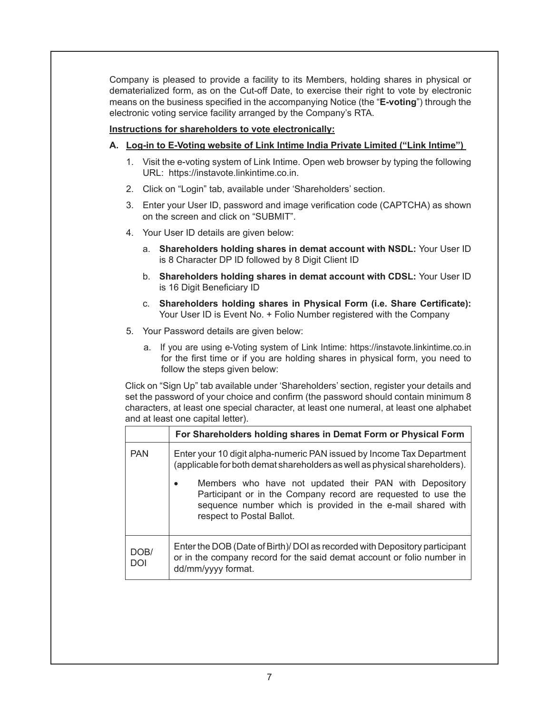Company is pleased to provide a facility to its Members, holding shares in physical or dematerialized form, as on the Cut-off Date, to exercise their right to vote by electronic means on the business specified in the accompanying Notice (the "**E-voting**") through the electronic voting service facility arranged by the Company's RTA.

#### **Instructions for shareholders to vote electronically:**

#### **A. Log-in to E-Voting website of Link Intime India Private Limited ("Link Intime")**

- 1. Visit the e-voting system of Link Intime. Open web browser by typing the following URL: https://instavote.linkintime.co.in.
- 2. Click on "Login" tab, available under 'Shareholders' section.
- 3. Enter your User ID, password and image verification code (CAPTCHA) as shown on the screen and click on "SUBMIT".
- 4. Your User ID details are given below:
	- a. **Shareholders holding shares in demat account with NSDL:** Your User ID is 8 Character DP ID followed by 8 Digit Client ID
	- b. **Shareholders holding shares in demat account with CDSL:** Your User ID is 16 Digit Beneficiary ID
	- c. **Shareholders holding shares in Physical Form (i.e. Share Certificate):**  Your User ID is Event No. + Folio Number registered with the Company
- 5. Your Password details are given below:
	- a. If you are using e-Voting system of Link Intime: https://instavote.linkintime.co.in for the first time or if you are holding shares in physical form, you need to follow the steps given below:

Click on "Sign Up" tab available under 'Shareholders' section, register your details and set the password of your choice and confirm (the password should contain minimum 8 characters, at least one special character, at least one numeral, at least one alphabet and at least one capital letter).

|                    | For Shareholders holding shares in Demat Form or Physical Form                                                                                                                                                      |
|--------------------|---------------------------------------------------------------------------------------------------------------------------------------------------------------------------------------------------------------------|
| <b>PAN</b>         | Enter your 10 digit alpha-numeric PAN issued by Income Tax Department<br>(applicable for both demat shareholders as well as physical shareholders).                                                                 |
|                    | Members who have not updated their PAN with Depository<br>Participant or in the Company record are requested to use the<br>sequence number which is provided in the e-mail shared with<br>respect to Postal Ballot. |
| DOB/<br><b>DOI</b> | Enter the DOB (Date of Birth)/ DOI as recorded with Depository participant<br>or in the company record for the said demat account or folio number in<br>dd/mm/yyyy format.                                          |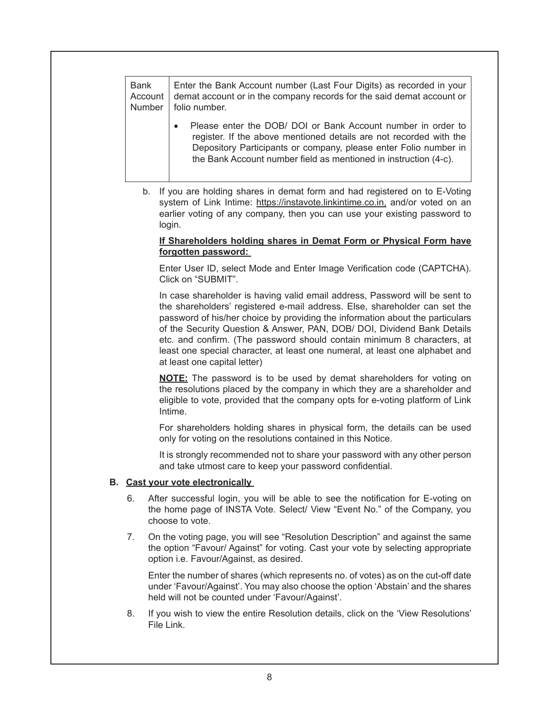| <b>Bank</b> | Enter the Bank Account number (Last Four Digits) as recorded in your                                                                                                                                                                                                       |
|-------------|----------------------------------------------------------------------------------------------------------------------------------------------------------------------------------------------------------------------------------------------------------------------------|
| Account     | demat account or in the company records for the said demat account or                                                                                                                                                                                                      |
| Number      | folio number.                                                                                                                                                                                                                                                              |
|             | Please enter the DOB/ DOI or Bank Account number in order to<br>register. If the above mentioned details are not recorded with the<br>Depository Participants or company, please enter Folio number in<br>the Bank Account number field as mentioned in instruction (4-c). |

b. If you are holding shares in demat form and had registered on to E-Voting system of Link Intime: https://instavote.linkintime.co.in, and/or voted on an earlier voting of any company, then you can use your existing password to login.

#### **If Shareholders holding shares in Demat Form or Physical Form have forgotten password:**

Enter User ID, select Mode and Enter Image Verification code (CAPTCHA). Click on "SUBMIT".

In case shareholder is having valid email address, Password will be sent to the shareholders' registered e-mail address. Else, shareholder can set the password of his/her choice by providing the information about the particulars of the Security Question & Answer, PAN, DOB/ DOI, Dividend Bank Details etc. and confirm. (The password should contain minimum 8 characters, at least one special character, at least one numeral, at least one alphabet and at least one capital letter)

**NOTE:** The password is to be used by demat shareholders for voting on the resolutions placed by the company in which they are a shareholder and eligible to vote, provided that the company opts for e-voting platform of Link Intime.

For shareholders holding shares in physical form, the details can be used only for voting on the resolutions contained in this Notice.

It is strongly recommended not to share your password with any other person and take utmost care to keep your password confidential.

#### **B. Cast your vote electronically**

- 6. After successful login, you will be able to see the notification for E-voting on the home page of INSTA Vote. Select/ View "Event No." of the Company, you choose to vote.
- 7. On the voting page, you will see "Resolution Description" and against the same the option "Favour/ Against" for voting. Cast your vote by selecting appropriate option i.e. Favour/Against, as desired.

Enter the number of shares (which represents no. of votes) as on the cut-off date under 'Favour/Against'. You may also choose the option 'Abstain' and the shares held will not be counted under 'Favour/Against'.

8. If you wish to view the entire Resolution details, click on the 'View Resolutions' File Link.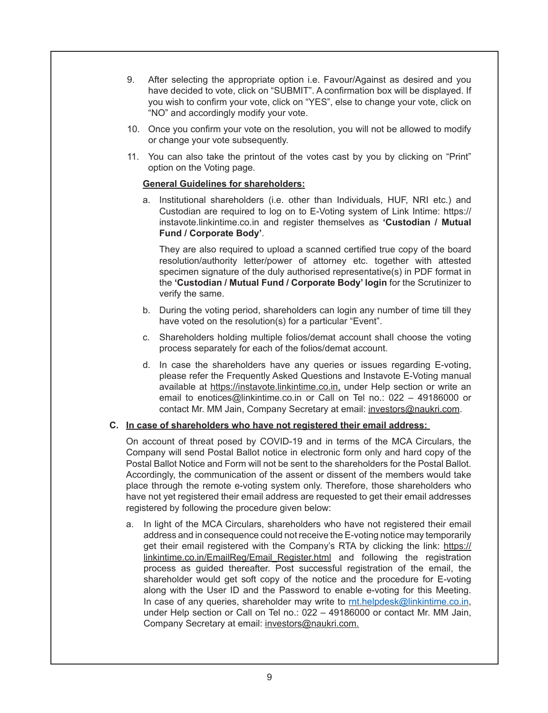- 9. After selecting the appropriate option i.e. Favour/Against as desired and you have decided to vote, click on "SUBMIT". A confirmation box will be displayed. If you wish to confirm your vote, click on "YES", else to change your vote, click on "NO" and accordingly modify your vote.
- 10. Once you confirm your vote on the resolution, you will not be allowed to modify or change your vote subsequently.
- 11. You can also take the printout of the votes cast by you by clicking on "Print" option on the Voting page.

#### **General Guidelines for shareholders:**

a. Institutional shareholders (i.e. other than Individuals, HUF, NRI etc.) and Custodian are required to log on to E-Voting system of Link Intime: https:// instavote.linkintime.co.in and register themselves as **'Custodian / Mutual Fund / Corporate Body'**.

They are also required to upload a scanned certified true copy of the board resolution/authority letter/power of attorney etc. together with attested specimen signature of the duly authorised representative(s) in PDF format in the **'Custodian / Mutual Fund / Corporate Body' login** for the Scrutinizer to verify the same.

- b. During the voting period, shareholders can login any number of time till they have voted on the resolution(s) for a particular "Event".
- c. Shareholders holding multiple folios/demat account shall choose the voting process separately for each of the folios/demat account.
- d. In case the shareholders have any queries or issues regarding E-voting, please refer the Frequently Asked Questions and Instavote E-Voting manual available at https://instavote.linkintime.co.in, under Help section or write an email to enotices@linkintime.co.in or Call on Tel no.: 022 – 49186000 or contact Mr. MM Jain, Company Secretary at email: investors@naukri.com.

#### **C. In case of shareholders who have not registered their email address:**

On account of threat posed by COVID-19 and in terms of the MCA Circulars, the Company will send Postal Ballot notice in electronic form only and hard copy of the Postal Ballot Notice and Form will not be sent to the shareholders for the Postal Ballot. Accordingly, the communication of the assent or dissent of the members would take place through the remote e-voting system only. Therefore, those shareholders who have not yet registered their email address are requested to get their email addresses registered by following the procedure given below:

a. In light of the MCA Circulars, shareholders who have not registered their email address and in consequence could not receive the E-voting notice may temporarily get their email registered with the Company's RTA by clicking the link: https:// linkintime.co.in/EmailReg/Email\_Register.html and following the registration process as guided thereafter. Post successful registration of the email, the shareholder would get soft copy of the notice and the procedure for E-voting along with the User ID and the Password to enable e-voting for this Meeting. In case of any queries, shareholder may write to rnt.helpdesk@linkintime.co.in, under Help section or Call on Tel no.: 022 – 49186000 or contact Mr. MM Jain, Company Secretary at email: investors@naukri.com.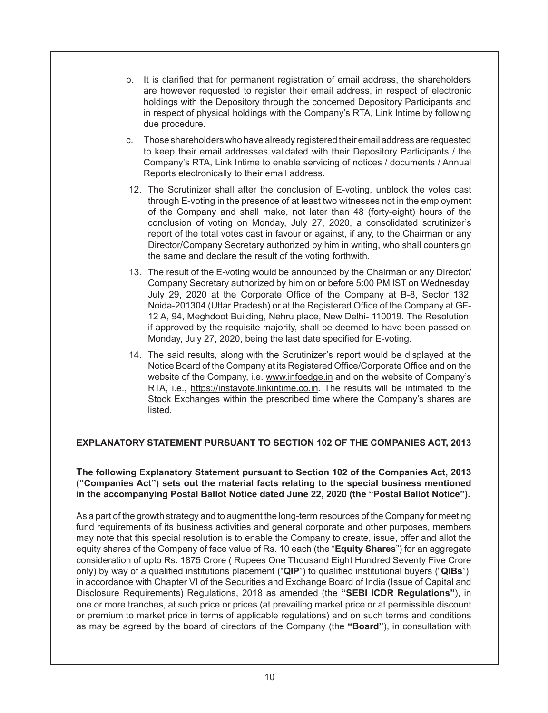- b. It is clarified that for permanent registration of email address, the shareholders are however requested to register their email address, in respect of electronic holdings with the Depository through the concerned Depository Participants and in respect of physical holdings with the Company's RTA, Link Intime by following due procedure.
- c. Those shareholders who have already registered their email address are requested to keep their email addresses validated with their Depository Participants / the Company's RTA, Link Intime to enable servicing of notices / documents / Annual Reports electronically to their email address.
- 12. The Scrutinizer shall after the conclusion of E-voting, unblock the votes cast through E-voting in the presence of at least two witnesses not in the employment of the Company and shall make, not later than 48 (forty-eight) hours of the conclusion of voting on Monday, July 27, 2020, a consolidated scrutinizer's report of the total votes cast in favour or against, if any, to the Chairman or any Director/Company Secretary authorized by him in writing, who shall countersign the same and declare the result of the voting forthwith.
- 13. The result of the E-voting would be announced by the Chairman or any Director/ Company Secretary authorized by him on or before 5:00 PM IST on Wednesday, July 29, 2020 at the Corporate Office of the Company at B-8, Sector 132, Noida-201304 (Uttar Pradesh) or at the Registered Office of the Company at GF-12 A, 94, Meghdoot Building, Nehru place, New Delhi- 110019. The Resolution, if approved by the requisite majority, shall be deemed to have been passed on Monday, July 27, 2020, being the last date specified for E-voting.
- 14. The said results, along with the Scrutinizer's report would be displayed at the Notice Board of the Company at its Registered Office/Corporate Office and on the website of the Company, i.e. www.infoedge.in and on the website of Company's RTA, i.e., https://instavote.linkintime.co.in. The results will be intimated to the Stock Exchanges within the prescribed time where the Company's shares are listed.

# **EXPLANATORY STATEMENT PURSUANT TO SECTION 102 OF THE COMPANIES ACT, 2013**

#### **The following Explanatory Statement pursuant to Section 102 of the Companies Act, 2013 ("Companies Act") sets out the material facts relating to the special business mentioned in the accompanying Postal Ballot Notice dated June 22, 2020 (the "Postal Ballot Notice").**

As a part of the growth strategy and to augment the long-term resources of the Company for meeting fund requirements of its business activities and general corporate and other purposes, members may note that this special resolution is to enable the Company to create, issue, offer and allot the equity shares of the Company of face value of Rs. 10 each (the "**Equity Shares**") for an aggregate consideration of upto Rs. 1875 Crore ( Rupees One Thousand Eight Hundred Seventy Five Crore only) by way of a qualified institutions placement ("**QIP**") to qualified institutional buyers ("**QIBs**"), in accordance with Chapter VI of the Securities and Exchange Board of India (Issue of Capital and Disclosure Requirements) Regulations, 2018 as amended (the **"SEBI ICDR Regulations"**), in one or more tranches, at such price or prices (at prevailing market price or at permissible discount or premium to market price in terms of applicable regulations) and on such terms and conditions as may be agreed by the board of directors of the Company (the **"Board"**), in consultation with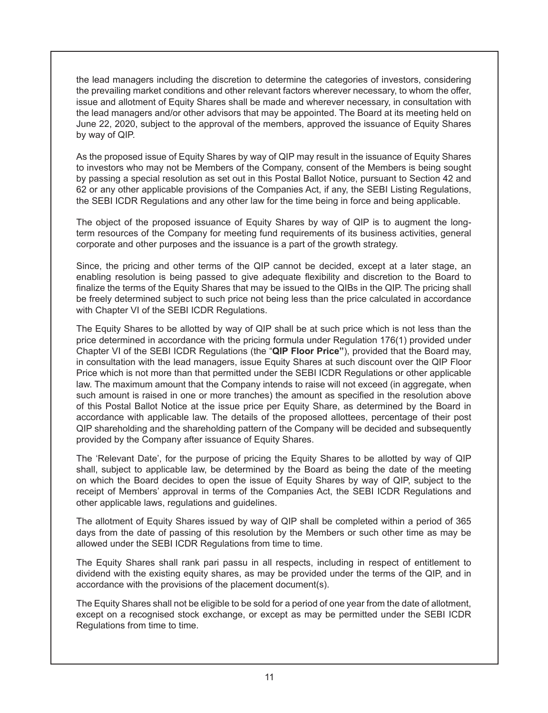the lead managers including the discretion to determine the categories of investors, considering the prevailing market conditions and other relevant factors wherever necessary, to whom the offer, issue and allotment of Equity Shares shall be made and wherever necessary, in consultation with the lead managers and/or other advisors that may be appointed. The Board at its meeting held on June 22, 2020, subject to the approval of the members, approved the issuance of Equity Shares by way of QIP.

As the proposed issue of Equity Shares by way of QIP may result in the issuance of Equity Shares to investors who may not be Members of the Company, consent of the Members is being sought by passing a special resolution as set out in this Postal Ballot Notice, pursuant to Section 42 and 62 or any other applicable provisions of the Companies Act, if any, the SEBI Listing Regulations, the SEBI ICDR Regulations and any other law for the time being in force and being applicable.

The object of the proposed issuance of Equity Shares by way of QIP is to augment the longterm resources of the Company for meeting fund requirements of its business activities, general corporate and other purposes and the issuance is a part of the growth strategy.

Since, the pricing and other terms of the QIP cannot be decided, except at a later stage, an enabling resolution is being passed to give adequate flexibility and discretion to the Board to finalize the terms of the Equity Shares that may be issued to the QIBs in the QIP. The pricing shall be freely determined subject to such price not being less than the price calculated in accordance with Chapter VI of the SEBI ICDR Regulations.

The Equity Shares to be allotted by way of QIP shall be at such price which is not less than the price determined in accordance with the pricing formula under Regulation 176(1) provided under Chapter VI of the SEBI ICDR Regulations (the "**QIP Floor Price"**), provided that the Board may, in consultation with the lead managers, issue Equity Shares at such discount over the QIP Floor Price which is not more than that permitted under the SEBI ICDR Regulations or other applicable law. The maximum amount that the Company intends to raise will not exceed (in aggregate, when such amount is raised in one or more tranches) the amount as specified in the resolution above of this Postal Ballot Notice at the issue price per Equity Share, as determined by the Board in accordance with applicable law. The details of the proposed allottees, percentage of their post QIP shareholding and the shareholding pattern of the Company will be decided and subsequently provided by the Company after issuance of Equity Shares.

The 'Relevant Date', for the purpose of pricing the Equity Shares to be allotted by way of QIP shall, subject to applicable law, be determined by the Board as being the date of the meeting on which the Board decides to open the issue of Equity Shares by way of QIP, subject to the receipt of Members' approval in terms of the Companies Act, the SEBI ICDR Regulations and other applicable laws, regulations and guidelines.

The allotment of Equity Shares issued by way of QIP shall be completed within a period of 365 days from the date of passing of this resolution by the Members or such other time as may be allowed under the SEBI ICDR Regulations from time to time.

The Equity Shares shall rank pari passu in all respects, including in respect of entitlement to dividend with the existing equity shares, as may be provided under the terms of the QIP, and in accordance with the provisions of the placement document(s).

The Equity Shares shall not be eligible to be sold for a period of one year from the date of allotment, except on a recognised stock exchange, or except as may be permitted under the SEBI ICDR Regulations from time to time.